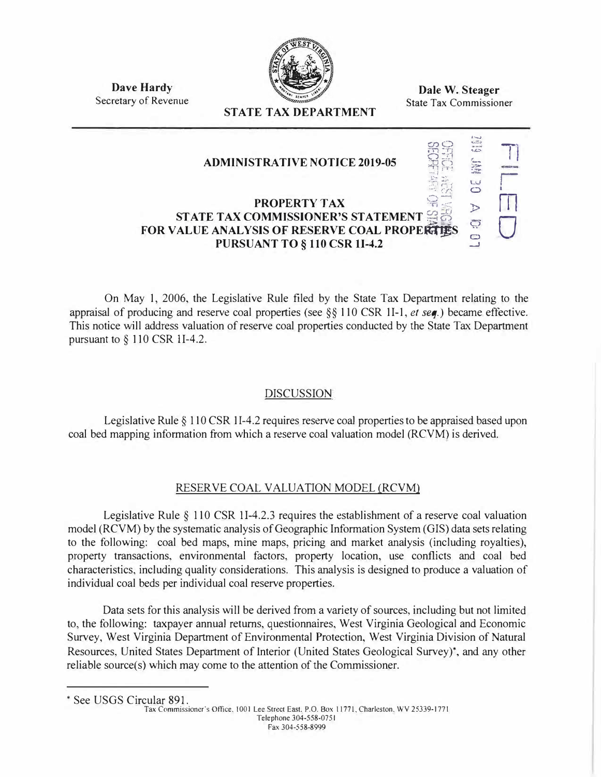

**Dave Hardy**  Secretary of Revenue

**Dale W. Steager**  State Tax Commissioner

## **STATE TAX DEPARTMENT**

| <b>ADMINISTRATIVE NOTICE 2019-05</b>                                                                                                                  |   |  |
|-------------------------------------------------------------------------------------------------------------------------------------------------------|---|--|
| <b>PROPERTY TAX</b><br>STATE TAX COMMISSIONER'S STATEMENT<br><b>FOR VALUE ANALYSIS OF RESERVE COAL PROPE腐傷</b><br><b>PURSUANT TO § 110 CSR 1I-4.2</b> | ٣ |  |

On May I, 2006, the Legislative Rule filed by the State Tax Department relating to the appraisal of producing and reserve coal properties (see *§§* 110 CSR II-I, *et seq.)* became effective. This notice will address valuation of reserve coal properties conducted by the State Tax Department pursuant to *§* 110 CSR II-4.2.

## **DISCUSSION**

Legislative Rule § 110 CSR 1I-4.2 requires reserve coal properties to be appraised based upon coal bed mapping information from which a reserve coal valuation model (RCVM) is derived.

## RESERVE COAL VALUATION MODEL (RCVM)

Legislative Rule *§* 110 CSR 11-4.2.3 requires the establishment of a reserve coal valuation model (RCVM) by the systematic analysis of Geographic Information System (GIS) data sets relating to the following: coal bed maps, mine maps, pricing and market analysis (including royalties), property transactions, environmental factors, property location, use conflicts and coal bed characteristics, including quality considerations. This analysis is designed to produce a valuation of individual coal beds per individual coal reserve properties.

Data sets for this analysis will be derived from a variety of sources, including but not limited to, the following: taxpayer annual returns, questionnaires, West Virginia Geological and Economic Survey, West Virginia Department of Environmental Protection, West Virginia Division of Natural Resources, United States Department of Interior (United States Geological Survey)\*, and any other reliable source(s) which may come to the attention of the Commissioner.

• See USGS Circular 891.

Tax Commissioner"s Office. 1001 Lee Street East. P.O. Box 11771. Charleston. WV 25339-1771 Telephone 304-558-0751 Fax 304-558-8999